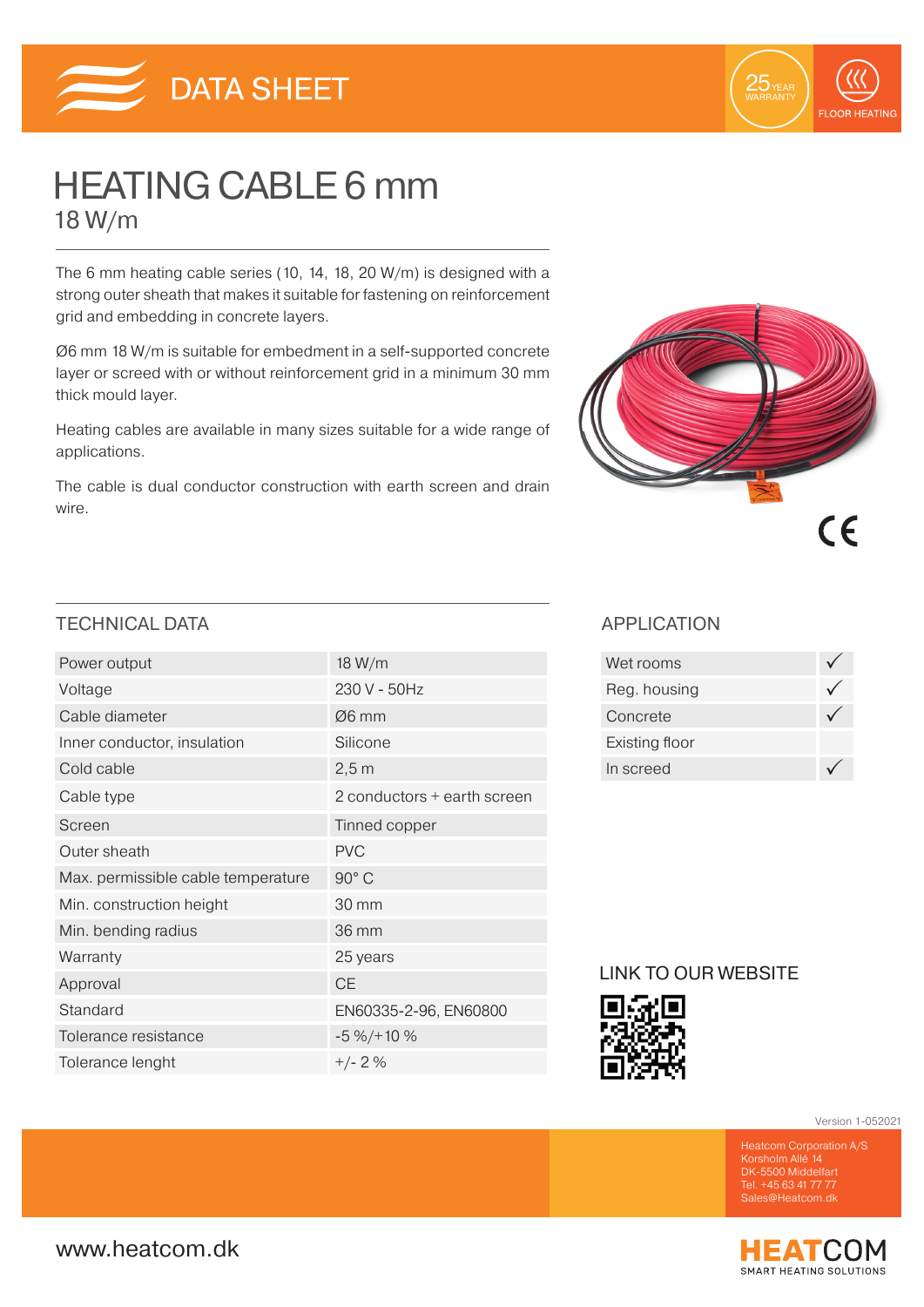



# HEATING CABLE 6 mm 18 W/m

The 6 mm heating cable series (10, 14, 18, 20 W/m) is designed with a strong outer sheath that makes it suitable for fastening on reinforcement grid and embedding in concrete layers.

Ø6 mm 18 W/m is suitable for embedment in a self-supported concrete layer or screed with or without reinforcement grid in a minimum 30 mm thick mould layer.

Heating cables are available in many sizes suitable for a wide range of applications.

The cable is dual conductor construction with earth screen and drain wire.



### TECHNICAL DATA APPLICATION

| Power output                       | 18 W/m                      |
|------------------------------------|-----------------------------|
| Voltage                            | 230 V - 50Hz                |
| Cable diameter                     | $\varnothing$ 6 mm          |
| Inner conductor, insulation        | Silicone                    |
| Cold cable                         | 2,5m                        |
| Cable type                         | 2 conductors + earth screen |
| Screen                             | Tinned copper               |
| Outer sheath                       | <b>PVC</b>                  |
| Max. permissible cable temperature | 90° C                       |
| Min. construction height           | 30 mm                       |
| Min. bending radius                | 36 mm                       |
| Warranty                           | 25 years                    |
| Approval                           | <b>CE</b>                   |
| Standard                           | EN60335-2-96, EN60800       |
| Tolerance resistance               | $-5\% / + 10\%$             |
| Tolerance lenght                   | $+/- 2%$                    |

| Wet rooms      |  |
|----------------|--|
| Reg. housing   |  |
| Concrete       |  |
| Existing floor |  |
| In screed      |  |

### LINK TO OUR WEBSITE



Version 1-052021

DK-5500 Middelfart Tel. +45 63 41 77 77